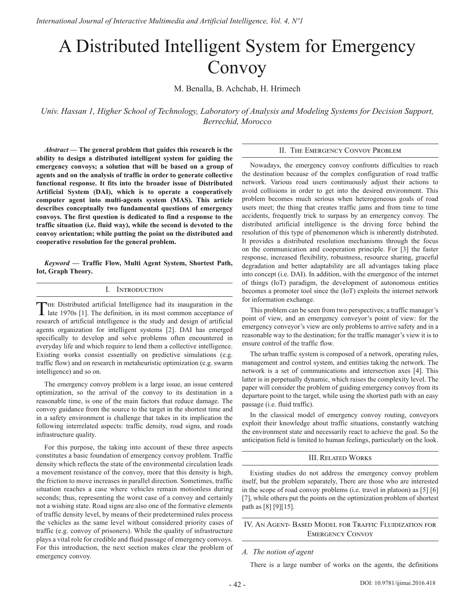# A Distributed Intelligent System for Emergency Convoy

M. Benalla, B. Achchab, H. Hrimech

*Univ. Hassan 1, Higher School of Technology, Laboratory of Analysis and Modeling Systems for Decision Support, Berrechid, Morocco* 

*Abstract* **— The general problem that guides this research is the ability to design a distributed intelligent system for guiding the emergency convoys; a solution that will be based on a group of agents and on the analysis of traffic in order to generate collective functional response. It fits into the broader issue of Distributed Artificial System (DAI), which is to operate a cooperatively computer agent into multi-agents system (MAS). This article describes conceptually two fundamental questions of emergency convoys. The first question is dedicated to find a response to the traffic situation (i.e. fluid way), while the second is devoted to the convoy orientation; while putting the point on the distributed and cooperative resolution for the general problem.**

*Keyword* **— Traffic Flow, Multi Agent System, Shortest Path, Iot, Graph Theory.** 

#### I. Introduction

THE Distributed artificial Intelligence had its inauguration in the late 1970s [1]. The definition, in its most common acceptance of research of artificial intelligence is the study and design of artificial agents organization for intelligent systems [2]. DAI has emerged specifically to develop and solve problems often encountered in everyday life and which require to lend them a collective intelligence. Existing works consist essentially on predictive simulations (e.g. traffic flow) and on research in metaheuristic optimization (e.g. swarm intelligence) and so on.

The emergency convoy problem is a large issue, an issue centered optimization, so the arrival of the convoy to its destination in a reasonable time, is one of the main factors that reduce damage. The convoy guidance from the source to the target in the shortest time and in a safety environment is challenge that takes in its implication the following interrelated aspects: traffic density, road signs, and roads infrastructure quality.

For this purpose, the taking into account of these three aspects constitutes a basic foundation of emergency convoy problem. Traffic density which reflects the state of the environmental circulation leads a movement resistance of the convoy, more that this density is high, the friction to move increases in parallel direction. Sometimes, traffic situation reaches a case where vehicles remain motionless during seconds; thus, representing the worst case of a convoy and certainly not a wishing state. Road signs are also one of the formative elements of traffic density level, by means of their predetermined rules process the vehicles as the same level without considered priority cases of traffic (e.g. convoy of prisoners). While the quality of infrastructure plays a vital role for credible and fluid passage of emergency convoys. For this introduction, the next section makes clear the problem of emergency convoy.

## II. The Emergency Convoy Problem

Nowadays, the emergency convoy confronts difficulties to reach the destination because of the complex configuration of road traffic network. Various road users continuously adjust their actions to avoid collisions in order to get into the desired environment. This problem becomes much serious when heterogeneous goals of road users meet; the thing that creates traffic jams and from time to time accidents, frequently trick to surpass by an emergency convoy. The distributed artificial intelligence is the driving force behind the resolution of this type of phenomenon which is inherently distributed. It provides a distributed resolution mechanisms through the focus on the communication and cooperation principle. For [3] the faster response, increased flexibility, robustness, resource sharing, graceful degradation and better adaptability are all advantages taking place into concept (i.e. DAI). In addition, with the emergence of the internet of things (IoT) paradigm, the development of autonomous entities becomes a promoter tool since the (IoT) exploits the internet network for information exchange.

This problem can be seen from two perspectives; a traffic manager's point of view, and an emergency conveyor's point of view: for the emergency conveyor's view are only problems to arrive safety and in a reasonable way to the destination; for the traffic manager's view it is to ensure control of the traffic flow.

The urban traffic system is composed of a network, operating rules, management and control system, and entities taking the network. The network is a set of communications and intersection axes [4]. This latter is in perpetually dynamic, which raises the complexity level. The paper will consider the problem of guiding emergency convoy from its departure point to the target, while using the shortest path with an easy passage (i.e. fluid traffic).

In the classical model of emergency convoy routing, conveyors exploit their knowledge about traffic situations, constantly watching the environment state and necessarily react to achieve the goal. So the anticipation field is limited to human feelings, particularly on the look.

#### III. Related Works

Existing studies do not address the emergency convoy problem itself, but the problem separately, There are those who are interested in the scope of road convoy problems (i.e. travel in platoon) as [5] [6] [7], while others put the points on the optimization problem of shortest path as [8] [9][15].

## IV. An Agent- Based Model for Traffic Fluidization for Emergency Convoy

## *A. The notion of agent*

There is a large number of works on the agents, the definitions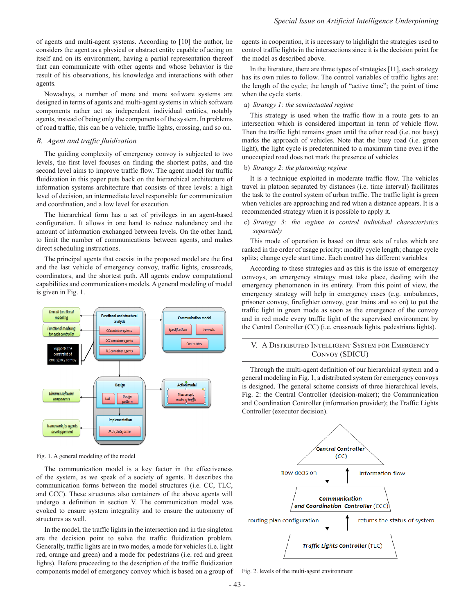of agents and multi-agent systems. According to [10] the author, he considers the agent as a physical or abstract entity capable of acting on itself and on its environment, having a partial representation thereof that can communicate with other agents and whose behavior is the result of his observations, his knowledge and interactions with other agents.

Nowadays, a number of more and more software systems are designed in terms of agents and multi-agent systems in which software components rather act as independent individual entities, notably agents, instead of being only the components of the system. In problems of road traffic, this can be a vehicle, traffic lights, crossing, and so on.

## *B. Agent and traffic fluidization*

The guiding complexity of emergency convoy is subjected to two levels, the first level focuses on finding the shortest paths, and the second level aims to improve traffic flow. The agent model for traffic fluidization in this paper puts back on the hierarchical architecture of information systems architecture that consists of three levels: a high level of decision, an intermediate level responsible for communication and coordination, and a low level for execution.

The hierarchical form has a set of privileges in an agent-based configuration. It allows in one hand to reduce redundancy and the amount of information exchanged between levels. On the other hand, to limit the number of communications between agents, and makes direct scheduling instructions.

The principal agents that coexist in the proposed model are the first and the last vehicle of emergency convoy, traffic lights, crossroads, coordinators, and the shortest path. All agents endow computational capabilities and communications models. A general modeling of model is given in Fig. 1.



Fig. 1. A general modeling of the model

The communication model is a key factor in the effectiveness of the system, as we speak of a society of agents. It describes the communication forms between the model structures (i.e. CC, TLC, and CCC). These structures also containers of the above agents will undergo a definition in section V. The communication model was evoked to ensure system integrality and to ensure the autonomy of structures as well.

In the model, the traffic lights in the intersection and in the singleton are the decision point to solve the traffic fluidization problem. Generally, traffic lights are in two modes, a mode for vehicles (i.e. light red, orange and green) and a mode for pedestrians (i.e. red and green lights). Before proceeding to the description of the traffic fluidization components model of emergency convoy which is based on a group of agents in cooperation, it is necessary to highlight the strategies used to control traffic lights in the intersections since it is the decision point for the model as described above.

In the literature, there are three types of strategies [11], each strategy has its own rules to follow. The control variables of traffic lights are: the length of the cycle; the length of "active time"; the point of time when the cycle starts.

#### a) *Strategy 1: the semiactuated regime*

This strategy is used when the traffic flow in a route gets to an intersection which is considered important in term of vehicle flow. Then the traffic light remains green until the other road (i.e. not busy) marks the approach of vehicles. Note that the busy road (i.e. green light), the light cycle is predetermined to a maximum time even if the unoccupied road does not mark the presence of vehicles.

#### b) *Strategy 2: the platooning regime*

It is a technique exploited in moderate traffic flow. The vehicles travel in platoon separated by distances (i.e. time interval) facilitates the task to the control system of urban traffic. The traffic light is green when vehicles are approaching and red when a distance appears. It is a recommended strategy when it is possible to apply it.

## c) *Strategy 3: the regime to control individual characteristics separately*

This mode of operation is based on three sets of rules which are ranked in the order of usage priority: modify cycle length; change cycle splits; change cycle start time. Each control has different variables

According to these strategies and as this is the issue of emergency convoys, an emergency strategy must take place, dealing with the emergency phenomenon in its entirety. From this point of view, the emergency strategy will help in emergency cases (e.g. ambulances, prisoner convoy, firefighter convoy, gear trains and so on) to put the traffic light in green mode as soon as the emergence of the convoy and in red mode every traffic light of the supervised environment by the Central Controller (CC) (i.e. crossroads lights, pedestrians lights).

# V. A Distributed Intelligent System for Emergency Convoy (SDICU)

Through the multi-agent definition of our hierarchical system and a general modeling in Fig. 1, a distributed system for emergency convoys is designed. The general scheme consists of three hierarchical levels, Fig. 2: the Central Controller (decision-maker); the Communication and Coordination Controller (information provider); the Traffic Lights Controller (executor decision).



Fig. 2. levels of the multi-agent environment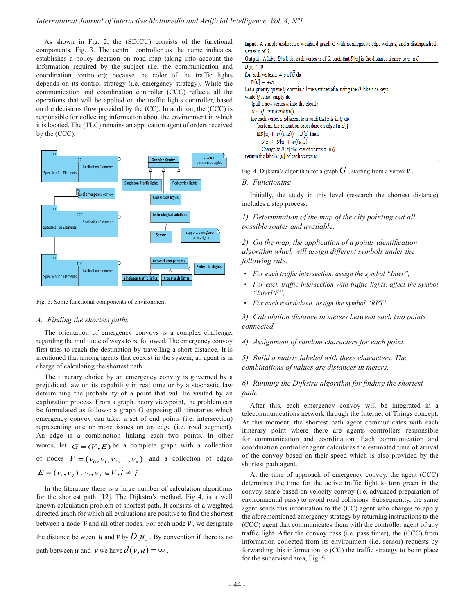As shown in Fig. 2, the (SDICU) consists of the functional components, Fig. 3. The central controller as the name indicates, establishes a policy decision on road map taking into account the information required by the subject (i.e. the communication and coordination controller); because the color of the traffic lights depends on its control strategy (i.e. emergency strategy). While the communication and coordination controller (CCC) reflects all the operations that will be applied on the traffic lights controller, based on the decisions flow provided by the (CC). In addition, the (CCC) is responsible for collecting information about the environment in which it is located. The (TLC) remains an application agent of orders received by the (CCC).



Fig. 3. Some functional components of environment

### *A. Finding the shortest paths*

The orientation of emergency convoys is a complex challenge, regarding the multitude of ways to be followed. The emergency convoy first tries to reach the destination by travelling a short distance. It is mentioned that among agents that coexist in the system, an agent is in charge of calculating the shortest path.

The itinerary choice by an emergency convoy is governed by a prejudiced law on its capability in real time or by a stochastic law determining the probability of a point that will be visited by an exploration process. From a graph theory viewpoint, the problem can be formulated as follows: a graph G exposing all itineraries which emergency convoy can take; a set of end points (i.e. intersection) representing one or more issues on an edge (i.e. road segment). An edge is a combination linking each two points. In other words, let  $G = (V, E)$  be a complete graph with a collection of nodes  $V = (v_0, v_1, v_2, ..., v_n)$  and a collection of edges  $E = (v_i, v_j) : v_i, v_j \in V, i \neq j$ 

In the literature there is a large number of calculation algorithms for the shortest path [12]. The Dijkstra's method, Fig 4, is a well known calculation problem of shortest path. It consists of a weighted directed graph for which all evaluations are positive to find the shortest between a node  $\nu$  and all other nodes. For each node  $\nu$ , we designate the distance between  $u$  and  $v$  by  $D[u]$ . By convention if there is no path between *u* and *v* we have  $d(v, u) = \infty$ .

| <b>Input</b> : A simple undirected weighted graph G with nonnegative edge weights, and a distinguished |  |  |  |  |  |  |
|--------------------------------------------------------------------------------------------------------|--|--|--|--|--|--|
| vertex $v$ of $G$                                                                                      |  |  |  |  |  |  |
|                                                                                                        |  |  |  |  |  |  |

| <b>Output</b> : A label $D[u]$ , for each vertex u of G, such that $D[u]$ is the distance from v to u in G |  |  |  |  |  |
|------------------------------------------------------------------------------------------------------------|--|--|--|--|--|
| $D[v] \leftarrow 0$                                                                                        |  |  |  |  |  |
| for each vertex $u \neq v$ of G do                                                                         |  |  |  |  |  |
| $D[u] \leftarrow +\infty$                                                                                  |  |  |  |  |  |
| Let a priority queue $Q$ contain all the vertices of $G$ using the $D$ labels as keys                      |  |  |  |  |  |
| while $Q$ is not empty do                                                                                  |  |  |  |  |  |
| {pull a new vertex $u$ into the cloud}                                                                     |  |  |  |  |  |
| $u \leftarrow 0$ . removeMin $\cap$                                                                        |  |  |  |  |  |
| for each vertex $z$ adjacent to $u$ such that $z$ is in $Q$ do                                             |  |  |  |  |  |
| {perform the relaxation procedure on edge $(u, z)$ }                                                       |  |  |  |  |  |
| if $D[u] + w((u, z)) < D[z]$ then                                                                          |  |  |  |  |  |
| $D[z] \leftarrow D[u] + w((u, z))$                                                                         |  |  |  |  |  |
| Change to $D[z]$ the key of vertex z in Q                                                                  |  |  |  |  |  |
| <b>return</b> the label $D[u]$ of each vertex u                                                            |  |  |  |  |  |

Fig. 4. Dijkstra's algorithm for a graph  $G$  , starting from a vertex  $v$  .

## *B. Functioning*

Initially, the study in this level (research the shortest distance) includes a step process.

*1) Determination of the map of the city pointing out all possible routes and available.* 

*2) On the map, the application of a points identification algorithm which will assign different symbols under the following rule:*

- *For each traffic intersection, assign the symbol "Inter",*
- *For each traffic intersection with traffic lights, affect the symbol "InterPF",*
- *For each roundabout, assign the symbol "RPT",*

*3) Calculation distance in meters between each two points connected,*

*4) Assignment of random characters for each point,*

*5) Build a matrix labeled with these characters. The combinations of values are distances in meters,*

# *6) Running the Dijkstra algorithm for finding the shortest path.*

After this, each emergency convoy will be integrated in a telecommunications network through the Internet of Things concept. At this moment, the shortest path agent communicates with each itinerary point where there are agents controllers responsible for communication and coordination. Each communication and coordination controller agent calculates the estimated time of arrival of the convoy based on their speed which is also provided by the shortest path agent.

At the time of approach of emergency convoy, the agent (CCC) determines the time for the active traffic light to turn green in the convoy sense based on velocity convoy (i.e. advanced preparation of environmental pass) to avoid road collisions. Subsequently, the same agent sends this information to the (CC) agent who charges to apply the aforementioned emergency strategy by returning instructions to the (CCC) agent that communicates them with the controller agent of any traffic light. After the convoy pass (i.e. pass timer), the (CCC) from information collected from its environment (i.e. sensor) requests by forwarding this information to (CC) the traffic strategy to be in place for the supervised area, Fig. 5.